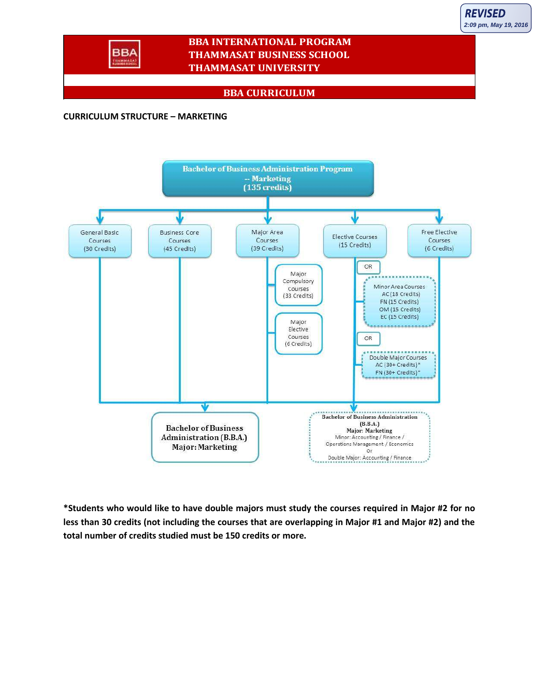

## **BBA INTERNATIONAL PROGRAM THAMMASAT BUSINESS SCHOOL THAMMASAT UNIVERSITY**

## **BBA CURRICULUM**

## **CURRICULUM STRUCTURE – MARKETING**



**\*Students who would like to have double majors must study the courses required in Major #2 for no less than 30 credits (not including the courses that are overlapping in Major #1 and Major #2) and the total number of credits studied must be 150 credits or more.**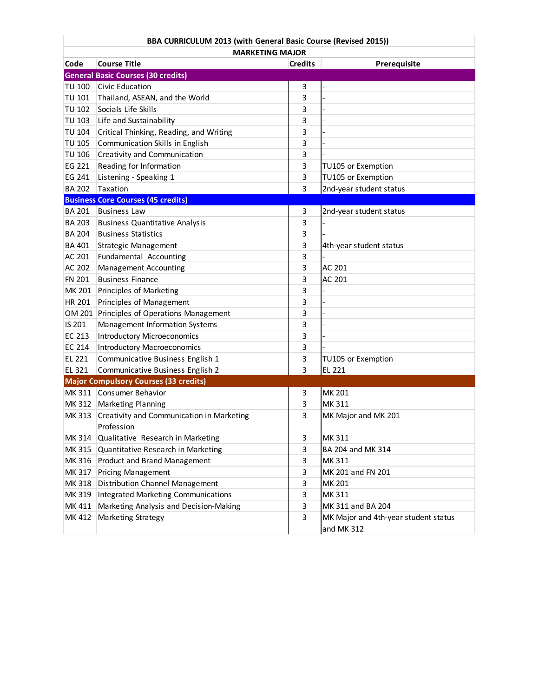| BBA CURRICULUM 2013 (with General Basic Course (Revised 2015)) |                                                         |                |                                                    |
|----------------------------------------------------------------|---------------------------------------------------------|----------------|----------------------------------------------------|
| Code                                                           | <b>MARKETING MAJOR</b><br><b>Course Title</b>           | <b>Credits</b> | Prerequisite                                       |
|                                                                | <b>General Basic Courses (30 credits)</b>               |                |                                                    |
| <b>TU 100</b>                                                  | Civic Education                                         | 3              |                                                    |
| <b>TU 101</b>                                                  | Thailand, ASEAN, and the World                          | 3              |                                                    |
| <b>TU 102</b>                                                  | Socials Life Skills                                     | 3              |                                                    |
| <b>TU 103</b>                                                  |                                                         |                |                                                    |
| <b>TU 104</b>                                                  | Life and Sustainability                                 | 3              |                                                    |
|                                                                | Critical Thinking, Reading, and Writing                 | 3              |                                                    |
| <b>TU 105</b>                                                  | Communication Skills in English                         | 3              |                                                    |
| <b>TU 106</b>                                                  | Creativity and Communication                            | 3              |                                                    |
| EG 221                                                         | Reading for Information                                 | 3              | TU105 or Exemption                                 |
| EG 241                                                         | Listening - Speaking 1                                  | 3              | TU105 or Exemption                                 |
| <b>BA 202</b>                                                  | Taxation                                                | 3              | 2nd-year student status                            |
|                                                                | <b>Business Core Courses (45 credits)</b>               |                |                                                    |
| <b>BA 201</b>                                                  | <b>Business Law</b>                                     | 3              | 2nd-year student status                            |
| <b>BA 203</b>                                                  | <b>Business Quantitative Analysis</b>                   | 3              |                                                    |
| <b>BA 204</b>                                                  | <b>Business Statistics</b>                              | 3              |                                                    |
| <b>BA 401</b>                                                  | Strategic Management                                    | 3              | 4th-year student status                            |
| AC 201                                                         | Fundamental Accounting                                  | 3              |                                                    |
| AC 202                                                         | <b>Management Accounting</b>                            | 3              | AC 201                                             |
| <b>FN 201</b>                                                  | <b>Business Finance</b>                                 | 3              | AC 201                                             |
| MK 201                                                         | Principles of Marketing                                 | 3              |                                                    |
| HR 201                                                         | Principles of Management                                | 3              |                                                    |
| OM 201                                                         | Principles of Operations Management                     | 3              |                                                    |
| IS 201                                                         | Management Information Systems                          | 3              |                                                    |
| EC 213                                                         | <b>Introductory Microeconomics</b>                      | 3              |                                                    |
| EC 214                                                         | <b>Introductory Macroeconomics</b>                      | 3              |                                                    |
| EL 221                                                         | Communicative Business English 1                        | 3              | TU105 or Exemption                                 |
| EL 321                                                         | Communicative Business English 2                        | 3              | EL 221                                             |
|                                                                | <b>Major Compulsory Courses (33 credits)</b>            |                |                                                    |
|                                                                | MK 311 Consumer Behavior                                | 3              | MK 201                                             |
| MK 312                                                         | Marketing Planning                                      | 3              | MK 311                                             |
| MK 313                                                         | Creativity and Communication in Marketing<br>Profession | 3              | MK Major and MK 201                                |
| MK 314                                                         | Qualitative Research in Marketing                       | 3              | MK 311                                             |
| MK 315                                                         | Quantitative Research in Marketing                      | 3              | BA 204 and MK 314                                  |
| MK 316                                                         | Product and Brand Management                            | 3              | MK 311                                             |
| MK 317                                                         | <b>Pricing Management</b>                               | 3              | MK 201 and FN 201                                  |
| MK 318                                                         | Distribution Channel Management                         | 3              | MK 201                                             |
| MK 319                                                         | <b>Integrated Marketing Communications</b>              | 3              | MK 311                                             |
| MK 411                                                         | Marketing Analysis and Decision-Making                  | 3              | MK 311 and BA 204                                  |
| MK 412                                                         | Marketing Strategy                                      | 3              | MK Major and 4th-year student status<br>and MK 312 |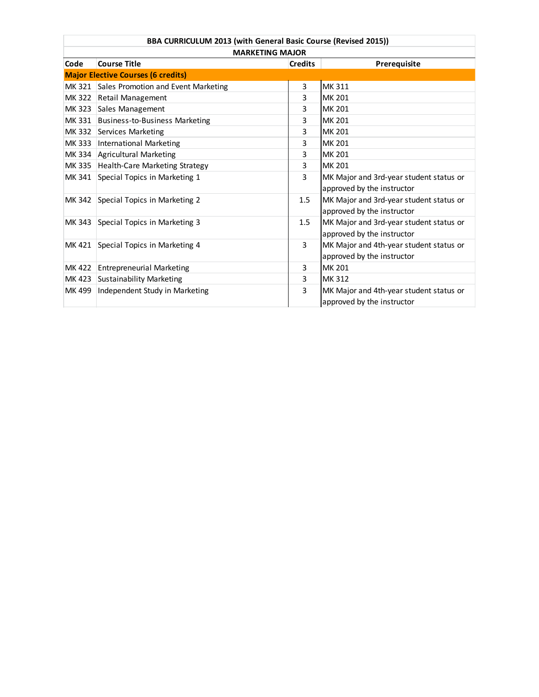| BBA CURRICULUM 2013 (with General Basic Course (Revised 2015)) |                                            |                |                                                                       |  |
|----------------------------------------------------------------|--------------------------------------------|----------------|-----------------------------------------------------------------------|--|
| <b>MARKETING MAJOR</b>                                         |                                            |                |                                                                       |  |
| Code                                                           | <b>Course Title</b>                        | <b>Credits</b> | Prerequisite                                                          |  |
|                                                                | <b>Major Elective Courses (6 credits)</b>  |                |                                                                       |  |
|                                                                | MK 321 Sales Promotion and Event Marketing | 3              | <b>MK311</b>                                                          |  |
|                                                                | MK 322 Retail Management                   | 3              | MK 201                                                                |  |
|                                                                | MK 323 Sales Management                    | 3              | <b>MK 201</b>                                                         |  |
|                                                                | MK 331 Business-to-Business Marketing      | 3              | <b>MK 201</b>                                                         |  |
|                                                                | MK 332 Services Marketing                  | 3              | <b>MK 201</b>                                                         |  |
|                                                                | MK 333 International Marketing             | 3              | <b>MK 201</b>                                                         |  |
|                                                                | MK 334 Agricultural Marketing              | 3              | <b>MK 201</b>                                                         |  |
| MK 335                                                         | Health-Care Marketing Strategy             | 3              | MK 201                                                                |  |
|                                                                | MK 341 Special Topics in Marketing 1       | 3              | MK Major and 3rd-year student status or<br>approved by the instructor |  |
|                                                                | MK 342 Special Topics in Marketing 2       | 1.5            | MK Major and 3rd-year student status or<br>approved by the instructor |  |
|                                                                | MK 343 Special Topics in Marketing 3       | 1.5            | MK Major and 3rd-year student status or<br>approved by the instructor |  |
|                                                                | MK 421 Special Topics in Marketing 4       | 3              | MK Major and 4th-year student status or<br>approved by the instructor |  |
|                                                                | MK 422 Entrepreneurial Marketing           | 3              | MK 201                                                                |  |
|                                                                | MK 423 Sustainability Marketing            | 3              | <b>MK312</b>                                                          |  |
| MK 499                                                         | Independent Study in Marketing             | 3              | MK Major and 4th-year student status or<br>approved by the instructor |  |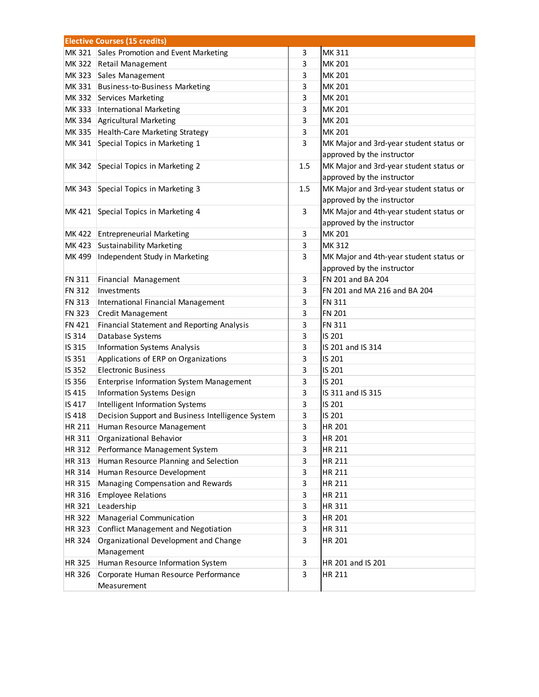| <b>Elective Courses (15 credits)</b> |                                                   |     |                                         |
|--------------------------------------|---------------------------------------------------|-----|-----------------------------------------|
|                                      | MK 321 Sales Promotion and Event Marketing        | 3   | MK 311                                  |
|                                      | MK 322 Retail Management                          | 3   | MK 201                                  |
|                                      | MK 323 Sales Management                           | 3   | MK 201                                  |
|                                      | MK 331 Business-to-Business Marketing             | 3   | MK 201                                  |
|                                      | MK 332 Services Marketing                         | 3   | MK 201                                  |
|                                      | MK 333   International Marketing                  | 3   | MK 201                                  |
|                                      | MK 334 Agricultural Marketing                     | 3   | MK 201                                  |
| MK 335                               | Health-Care Marketing Strategy                    | 3   | MK 201                                  |
| MK 341                               | Special Topics in Marketing 1                     | 3   | MK Major and 3rd-year student status or |
|                                      |                                                   |     | approved by the instructor              |
| MK 342                               | Special Topics in Marketing 2                     | 1.5 | MK Major and 3rd-year student status or |
|                                      |                                                   |     | approved by the instructor              |
|                                      | MK 343 Special Topics in Marketing 3              | 1.5 | MK Major and 3rd-year student status or |
|                                      |                                                   |     | approved by the instructor              |
|                                      | MK 421 Special Topics in Marketing 4              | 3   | MK Major and 4th-year student status or |
|                                      |                                                   |     | approved by the instructor              |
|                                      | MK 422 Entrepreneurial Marketing                  | 3   | MK 201                                  |
|                                      | MK 423 Sustainability Marketing                   | 3   | MK 312                                  |
| MK 499                               | Independent Study in Marketing                    | 3   | MK Major and 4th-year student status or |
|                                      |                                                   |     | approved by the instructor              |
| FN 311                               | Financial Management                              | 3   | FN 201 and BA 204                       |
| <b>FN 312</b>                        | Investments                                       | 3   | FN 201 and MA 216 and BA 204            |
| FN 313                               | International Financial Management                | 3   | FN 311                                  |
| FN 323                               | <b>Credit Management</b>                          | 3   | <b>FN 201</b>                           |
| <b>FN 421</b>                        | Financial Statement and Reporting Analysis        | 3   | <b>FN 311</b>                           |
| IS 314                               | Database Systems                                  | 3   | IS 201                                  |
| IS 315                               | <b>Information Systems Analysis</b>               | 3   | IS 201 and IS 314                       |
| IS 351                               | Applications of ERP on Organizations              | 3   | IS 201                                  |
| IS 352                               | <b>Electronic Business</b>                        | 3   | IS 201                                  |
| IS 356                               | <b>Enterprise Information System Management</b>   | 3   | IS 201                                  |
| IS 415                               | Information Systems Design                        | 3   | IS 311 and IS 315                       |
| IS 417                               | Intelligent Information Systems                   | 3   | IS 201                                  |
| IS 418                               | Decision Support and Business Intelligence System | 3   | IS 201                                  |
| <b>HR 211</b>                        | Human Resource Management                         | 3   | <b>HR 201</b>                           |
| HR 311                               | Organizational Behavior                           | 3   | HR 201                                  |
| HR 312                               | Performance Management System                     | 3   | HR 211                                  |
| HR 313                               | Human Resource Planning and Selection             | 3   | HR 211                                  |
| HR 314                               | Human Resource Development                        | 3   | HR 211                                  |
| HR 315                               | Managing Compensation and Rewards                 | 3   | HR 211                                  |
| HR 316                               | <b>Employee Relations</b>                         | 3   | HR 211                                  |
| HR 321                               | Leadership                                        | 3   | HR 311                                  |
| HR 322                               | Managerial Communication                          | 3   | HR 201                                  |
| HR 323                               | <b>Conflict Management and Negotiation</b>        | 3   | HR 311                                  |
| HR 324                               | Organizational Development and Change             | 3   | HR 201                                  |
|                                      | Management                                        |     |                                         |
| HR 325                               | Human Resource Information System                 | 3   | HR 201 and IS 201                       |
| HR 326                               | Corporate Human Resource Performance              | 3   | HR 211                                  |
|                                      | Measurement                                       |     |                                         |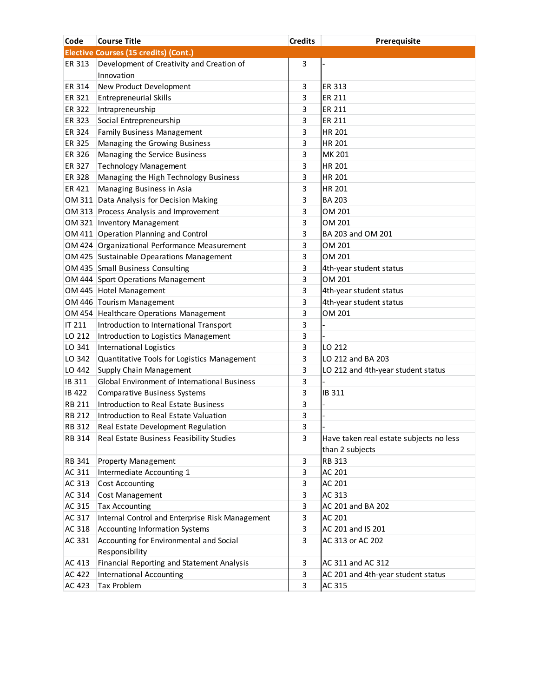| Code          | <b>Course Title</b>                             | <b>Credits</b> | Prerequisite                            |
|---------------|-------------------------------------------------|----------------|-----------------------------------------|
|               | Elective Courses (15 credits) (Cont.)           |                |                                         |
| ER 313        | Development of Creativity and Creation of       | 3              |                                         |
|               | Innovation                                      |                |                                         |
| ER 314        | New Product Development                         | 3              | ER 313                                  |
| ER 321        | <b>Entrepreneurial Skills</b>                   | 3              | ER 211                                  |
| ER 322        | Intrapreneurship                                | 3              | ER 211                                  |
| ER 323        | Social Entrepreneurship                         | 3              | ER 211                                  |
| ER 324        | <b>Family Business Management</b>               | 3              | HR 201                                  |
| ER 325        | Managing the Growing Business                   | 3              | HR 201                                  |
| ER 326        | Managing the Service Business                   | 3              | MK 201                                  |
| ER 327        | <b>Technology Management</b>                    | 3              | HR 201                                  |
| ER 328        | Managing the High Technology Business           | 3              | HR 201                                  |
| ER 421        | Managing Business in Asia                       | 3              | <b>HR 201</b>                           |
|               | OM 311 Data Analysis for Decision Making        | 3              | <b>BA 203</b>                           |
|               | OM 313 Process Analysis and Improvement         | 3              | OM 201                                  |
|               | OM 321   Inventory Management                   | 3              | OM 201                                  |
|               | OM 411 Operation Planning and Control           | 3              | BA 203 and OM 201                       |
|               | OM 424 Organizational Performance Measurement   | 3              | OM 201                                  |
|               | OM 425 Sustainable Opearations Management       | 3              | OM 201                                  |
|               | OM 435 Small Business Consulting                | 3              | 4th-year student status                 |
|               | OM 444 Sport Operations Management              | 3              | OM 201                                  |
|               | OM 445 Hotel Management                         | 3              | 4th-year student status                 |
|               | OM 446 Tourism Management                       | 3              | 4th-year student status                 |
|               | OM 454 Healthcare Operations Management         | 3              | OM 201                                  |
| IT 211        | Introduction to International Transport         | 3              |                                         |
| LO 212        | Introduction to Logistics Management            | 3              |                                         |
| LO 341        | International Logistics                         | 3              | LO 212                                  |
| LO 342        | Quantitative Tools for Logistics Management     | 3              | LO 212 and BA 203                       |
| LO 442        | Supply Chain Management                         | 3              | LO 212 and 4th-year student status      |
| IB 311        | Global Environment of International Business    | 3              |                                         |
| <b>IB 422</b> | <b>Comparative Business Systems</b>             | 3              | IB 311                                  |
| <b>RB 211</b> | Introduction to Real Estate Business            | 3              |                                         |
| <b>RB 212</b> | Introduction to Real Estate Valuation           | 3              |                                         |
| <b>RB 312</b> | Real Estate Development Regulation              | 3              |                                         |
| RB 314        | Real Estate Business Feasibility Studies        | 3              | Have taken real estate subjects no less |
|               |                                                 |                | than 2 subjects                         |
| RB 341        | <b>Property Management</b>                      | 3              | RB 313                                  |
| AC 311        | Intermediate Accounting 1                       | 3              | AC 201                                  |
| AC 313        | <b>Cost Accounting</b>                          | 3              | AC 201                                  |
| AC 314        | Cost Management                                 | 3              | AC 313                                  |
| AC 315        | <b>Tax Accounting</b>                           | 3              | AC 201 and BA 202                       |
| AC 317        | Internal Control and Enterprise Risk Management | 3              | AC 201                                  |
| AC 318        | <b>Accounting Information Systems</b>           | 3              | AC 201 and IS 201                       |
| AC 331        | Accounting for Environmental and Social         | 3              | AC 313 or AC 202                        |
|               | Responsibility                                  |                |                                         |
| AC 413        | Financial Reporting and Statement Analysis      | 3              | AC 311 and AC 312                       |
| AC 422        | International Accounting                        | 3              | AC 201 and 4th-year student status      |
| AC 423        | <b>Tax Problem</b>                              | 3              | AC 315                                  |